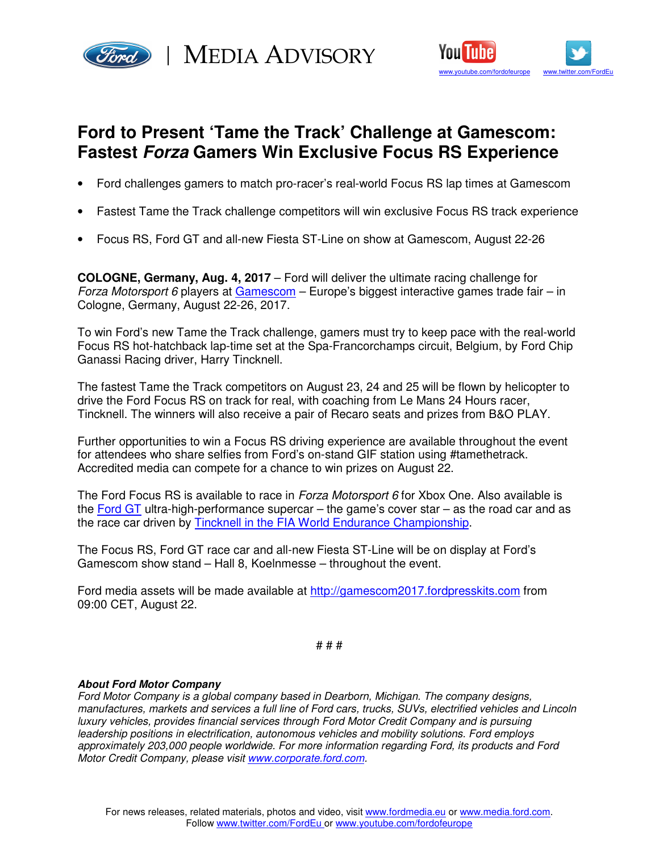

Ford) | MEDIA ADVISORY



## **Ford to Present 'Tame the Track' Challenge at Gamescom: Fastest Forza Gamers Win Exclusive Focus RS Experience**

- Ford challenges gamers to match pro-racer's real-world Focus RS lap times at Gamescom
- Fastest Tame the Track challenge competitors will win exclusive Focus RS track experience
- Focus RS, Ford GT and all-new Fiesta ST-Line on show at Gamescom, August 22-26

**COLOGNE, Germany, Aug. 4, 2017** – Ford will deliver the ultimate racing challenge for Forza Motorsport 6 players at Gamescom – Europe's biggest interactive games trade fair – in Cologne, Germany, August 22-26, 2017.

To win Ford's new Tame the Track challenge, gamers must try to keep pace with the real-world Focus RS hot-hatchback lap-time set at the Spa-Francorchamps circuit, Belgium, by Ford Chip Ganassi Racing driver, Harry Tincknell.

The fastest Tame the Track competitors on August 23, 24 and 25 will be flown by helicopter to drive the Ford Focus RS on track for real, with coaching from Le Mans 24 Hours racer, Tincknell. The winners will also receive a pair of Recaro seats and prizes from B&O PLAY.

Further opportunities to win a Focus RS driving experience are available throughout the event for attendees who share selfies from Ford's on-stand GIF station using #tamethetrack. Accredited media can compete for a chance to win prizes on August 22.

The Ford Focus RS is available to race in Forza Motorsport 6 for Xbox One. Also available is the Ford GT ultra-high-performance supercar – the game's cover star – as the road car and as the race car driven by Tincknell in the FIA World Endurance Championship.

The Focus RS, Ford GT race car and all-new Fiesta ST-Line will be on display at Ford's Gamescom show stand – Hall 8, Koelnmesse – throughout the event.

Ford media assets will be made available at http://gamescom2017.fordpresskits.com from 09:00 CET, August 22.

# # #

## **About Ford Motor Company**

Ford Motor Company is a global company based in Dearborn, Michigan. The company designs, manufactures, markets and services a full line of Ford cars, trucks, SUVs, electrified vehicles and Lincoln luxury vehicles, provides financial services through Ford Motor Credit Company and is pursuing leadership positions in electrification, autonomous vehicles and mobility solutions. Ford employs approximately 203,000 people worldwide. For more information regarding Ford, its products and Ford Motor Credit Company, please visit www.corporate.ford.com.